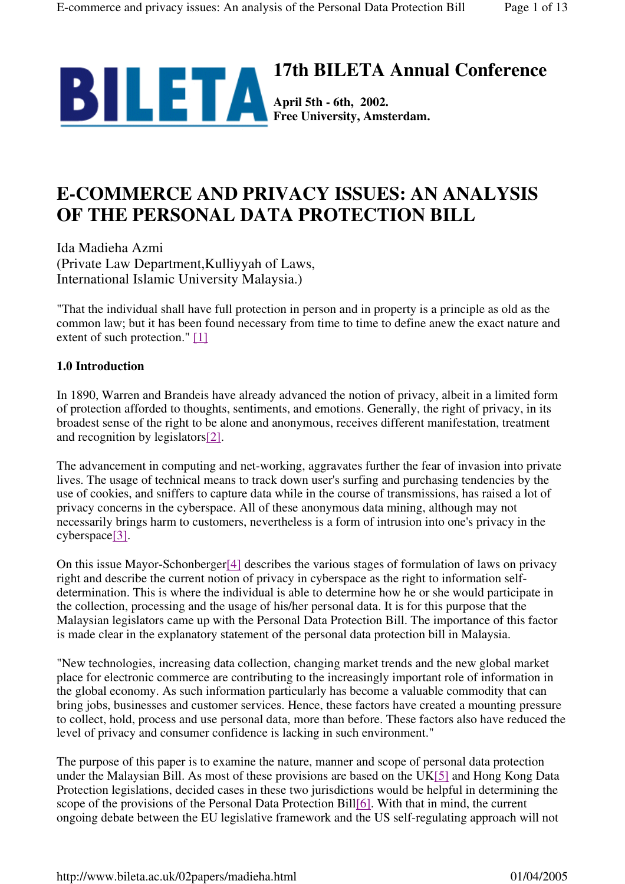

# **E-COMMERCE AND PRIVACY ISSUES: AN ANALYSIS OF THE PERSONAL DATA PROTECTION BILL**

Ida Madieha Azmi (Private Law Department,Kulliyyah of Laws, International Islamic University Malaysia.)

"That the individual shall have full protection in person and in property is a principle as old as the common law; but it has been found necessary from time to time to define anew the exact nature and extent of such protection." [1]

# **1.0 Introduction**

In 1890, Warren and Brandeis have already advanced the notion of privacy, albeit in a limited form of protection afforded to thoughts, sentiments, and emotions. Generally, the right of privacy, in its broadest sense of the right to be alone and anonymous, receives different manifestation, treatment and recognition by legislators[2].

The advancement in computing and net-working, aggravates further the fear of invasion into private lives. The usage of technical means to track down user's surfing and purchasing tendencies by the use of cookies, and sniffers to capture data while in the course of transmissions, has raised a lot of privacy concerns in the cyberspace. All of these anonymous data mining, although may not necessarily brings harm to customers, nevertheless is a form of intrusion into one's privacy in the cyberspace[3].

On this issue Mayor-Schonberger[4] describes the various stages of formulation of laws on privacy right and describe the current notion of privacy in cyberspace as the right to information selfdetermination. This is where the individual is able to determine how he or she would participate in the collection, processing and the usage of his/her personal data. It is for this purpose that the Malaysian legislators came up with the Personal Data Protection Bill. The importance of this factor is made clear in the explanatory statement of the personal data protection bill in Malaysia.

"New technologies, increasing data collection, changing market trends and the new global market place for electronic commerce are contributing to the increasingly important role of information in the global economy. As such information particularly has become a valuable commodity that can bring jobs, businesses and customer services. Hence, these factors have created a mounting pressure to collect, hold, process and use personal data, more than before. These factors also have reduced the level of privacy and consumer confidence is lacking in such environment."

The purpose of this paper is to examine the nature, manner and scope of personal data protection under the Malaysian Bill. As most of these provisions are based on the UK[5] and Hong Kong Data Protection legislations, decided cases in these two jurisdictions would be helpful in determining the scope of the provisions of the Personal Data Protection Bill[6]. With that in mind, the current ongoing debate between the EU legislative framework and the US self-regulating approach will not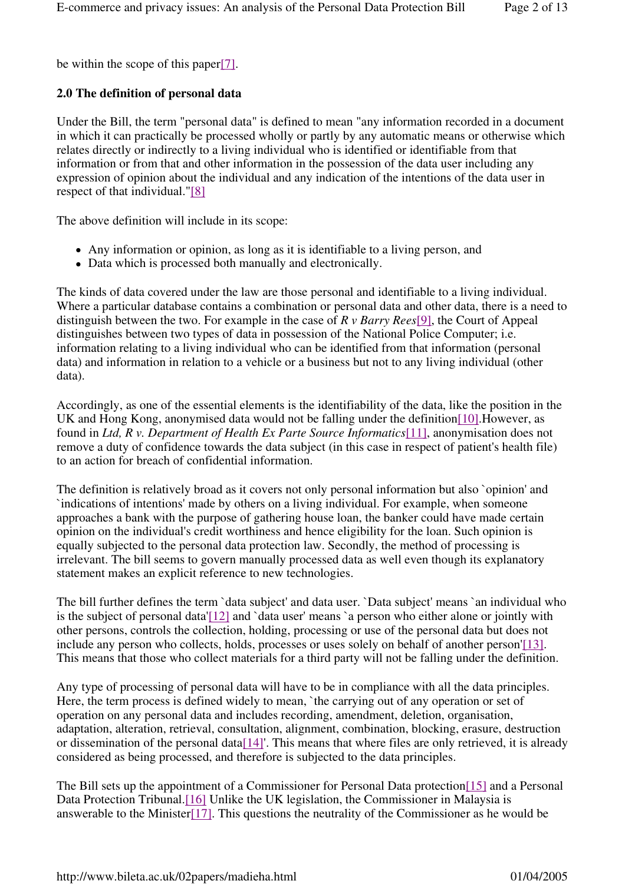be within the scope of this paper[7].

# **2.0 The definition of personal data**

Under the Bill, the term "personal data" is defined to mean "any information recorded in a document in which it can practically be processed wholly or partly by any automatic means or otherwise which relates directly or indirectly to a living individual who is identified or identifiable from that information or from that and other information in the possession of the data user including any expression of opinion about the individual and any indication of the intentions of the data user in respect of that individual."[8]

The above definition will include in its scope:

- Any information or opinion, as long as it is identifiable to a living person, and
- Data which is processed both manually and electronically.

The kinds of data covered under the law are those personal and identifiable to a living individual. Where a particular database contains a combination or personal data and other data, there is a need to distinguish between the two. For example in the case of *R v Barry Rees*[9], the Court of Appeal distinguishes between two types of data in possession of the National Police Computer; i.e. information relating to a living individual who can be identified from that information (personal data) and information in relation to a vehicle or a business but not to any living individual (other data).

Accordingly, as one of the essential elements is the identifiability of the data, like the position in the UK and Hong Kong, anonymised data would not be falling under the definition[10].However, as found in *Ltd, R v. Department of Health Ex Parte Source Informatics*[11], anonymisation does not remove a duty of confidence towards the data subject (in this case in respect of patient's health file) to an action for breach of confidential information.

The definition is relatively broad as it covers not only personal information but also `opinion' and `indications of intentions' made by others on a living individual. For example, when someone approaches a bank with the purpose of gathering house loan, the banker could have made certain opinion on the individual's credit worthiness and hence eligibility for the loan. Such opinion is equally subjected to the personal data protection law. Secondly, the method of processing is irrelevant. The bill seems to govern manually processed data as well even though its explanatory statement makes an explicit reference to new technologies.

The bill further defines the term `data subject' and data user. `Data subject' means `an individual who is the subject of personal data'[12] and `data user' means `a person who either alone or jointly with other persons, controls the collection, holding, processing or use of the personal data but does not include any person who collects, holds, processes or uses solely on behalf of another person'[13]. This means that those who collect materials for a third party will not be falling under the definition.

Any type of processing of personal data will have to be in compliance with all the data principles. Here, the term process is defined widely to mean, `the carrying out of any operation or set of operation on any personal data and includes recording, amendment, deletion, organisation, adaptation, alteration, retrieval, consultation, alignment, combination, blocking, erasure, destruction or dissemination of the personal data[14]'. This means that where files are only retrieved, it is already considered as being processed, and therefore is subjected to the data principles.

The Bill sets up the appointment of a Commissioner for Personal Data protection[15] and a Personal Data Protection Tribunal.[16] Unlike the UK legislation, the Commissioner in Malaysia is answerable to the Minister<sup>[17]</sup>. This questions the neutrality of the Commissioner as he would be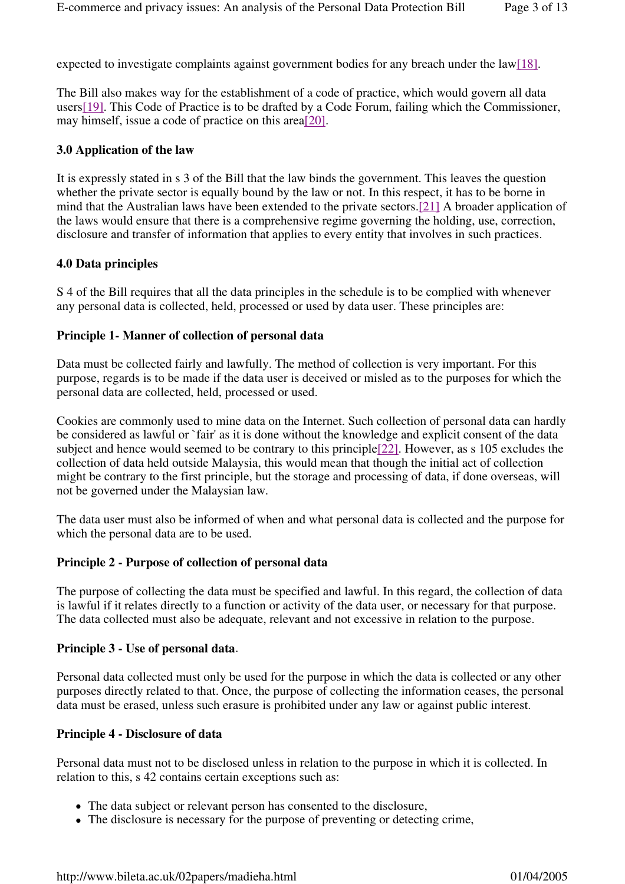expected to investigate complaints against government bodies for any breach under the law[18].

The Bill also makes way for the establishment of a code of practice, which would govern all data users[19]. This Code of Practice is to be drafted by a Code Forum, failing which the Commissioner, may himself, issue a code of practice on this area[20].

#### **3.0 Application of the law**

It is expressly stated in s 3 of the Bill that the law binds the government. This leaves the question whether the private sector is equally bound by the law or not. In this respect, it has to be borne in mind that the Australian laws have been extended to the private sectors.[21] A broader application of the laws would ensure that there is a comprehensive regime governing the holding, use, correction, disclosure and transfer of information that applies to every entity that involves in such practices.

## **4.0 Data principles**

S 4 of the Bill requires that all the data principles in the schedule is to be complied with whenever any personal data is collected, held, processed or used by data user. These principles are:

## **Principle 1- Manner of collection of personal data**

Data must be collected fairly and lawfully. The method of collection is very important. For this purpose, regards is to be made if the data user is deceived or misled as to the purposes for which the personal data are collected, held, processed or used.

Cookies are commonly used to mine data on the Internet. Such collection of personal data can hardly be considered as lawful or `fair' as it is done without the knowledge and explicit consent of the data subject and hence would seemed to be contrary to this principle[22]. However, as s 105 excludes the collection of data held outside Malaysia, this would mean that though the initial act of collection might be contrary to the first principle, but the storage and processing of data, if done overseas, will not be governed under the Malaysian law.

The data user must also be informed of when and what personal data is collected and the purpose for which the personal data are to be used.

#### **Principle 2 - Purpose of collection of personal data**

The purpose of collecting the data must be specified and lawful. In this regard, the collection of data is lawful if it relates directly to a function or activity of the data user, or necessary for that purpose. The data collected must also be adequate, relevant and not excessive in relation to the purpose.

#### **Principle 3 - Use of personal data**.

Personal data collected must only be used for the purpose in which the data is collected or any other purposes directly related to that. Once, the purpose of collecting the information ceases, the personal data must be erased, unless such erasure is prohibited under any law or against public interest.

#### **Principle 4 - Disclosure of data**

Personal data must not to be disclosed unless in relation to the purpose in which it is collected. In relation to this, s 42 contains certain exceptions such as:

- The data subject or relevant person has consented to the disclosure,
- The disclosure is necessary for the purpose of preventing or detecting crime,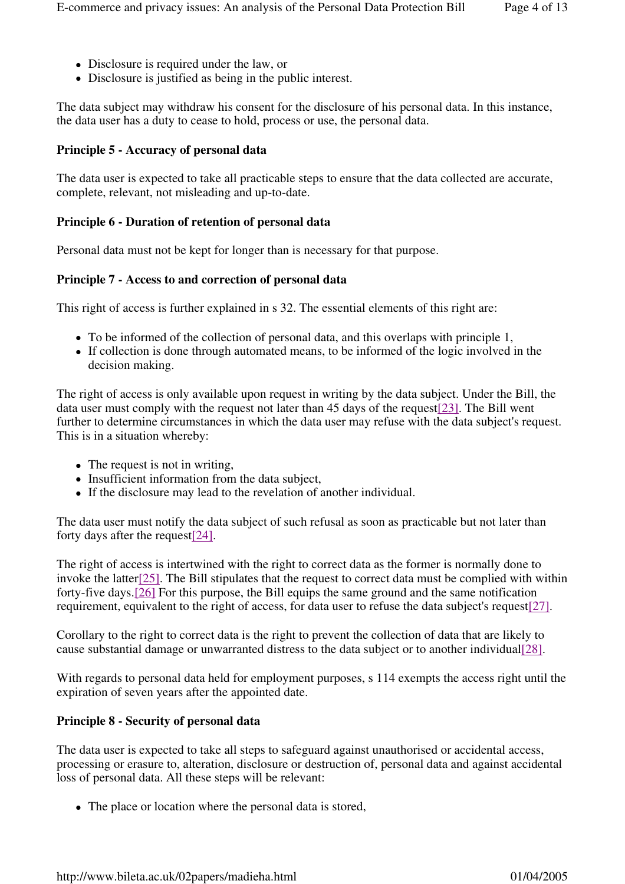- Disclosure is required under the law, or
- Disclosure is justified as being in the public interest.

The data subject may withdraw his consent for the disclosure of his personal data. In this instance, the data user has a duty to cease to hold, process or use, the personal data.

## **Principle 5 - Accuracy of personal data**

The data user is expected to take all practicable steps to ensure that the data collected are accurate, complete, relevant, not misleading and up-to-date.

## **Principle 6 - Duration of retention of personal data**

Personal data must not be kept for longer than is necessary for that purpose.

## **Principle 7 - Access to and correction of personal data**

This right of access is further explained in s 32. The essential elements of this right are:

- To be informed of the collection of personal data, and this overlaps with principle 1,
- If collection is done through automated means, to be informed of the logic involved in the decision making.

The right of access is only available upon request in writing by the data subject. Under the Bill, the data user must comply with the request not later than 45 days of the request[23]. The Bill went further to determine circumstances in which the data user may refuse with the data subject's request. This is in a situation whereby:

- The request is not in writing,
- Insufficient information from the data subject,
- If the disclosure may lead to the revelation of another individual.

The data user must notify the data subject of such refusal as soon as practicable but not later than forty days after the request[24].

The right of access is intertwined with the right to correct data as the former is normally done to invoke the latter<sup>[25]</sup>. The Bill stipulates that the request to correct data must be complied with within forty-five days.[26] For this purpose, the Bill equips the same ground and the same notification requirement, equivalent to the right of access, for data user to refuse the data subject's request[27].

Corollary to the right to correct data is the right to prevent the collection of data that are likely to cause substantial damage or unwarranted distress to the data subject or to another individual[28].

With regards to personal data held for employment purposes, s 114 exempts the access right until the expiration of seven years after the appointed date.

# **Principle 8 - Security of personal data**

The data user is expected to take all steps to safeguard against unauthorised or accidental access, processing or erasure to, alteration, disclosure or destruction of, personal data and against accidental loss of personal data. All these steps will be relevant:

• The place or location where the personal data is stored,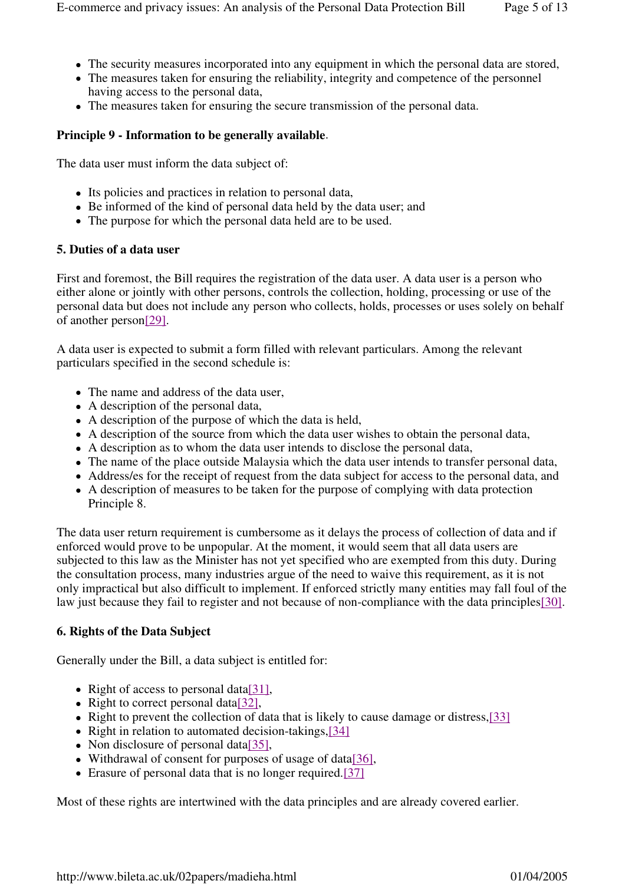- The security measures incorporated into any equipment in which the personal data are stored,
- The measures taken for ensuring the reliability, integrity and competence of the personnel having access to the personal data,
- The measures taken for ensuring the secure transmission of the personal data.

## **Principle 9 - Information to be generally available**.

The data user must inform the data subject of:

- Its policies and practices in relation to personal data,
- Be informed of the kind of personal data held by the data user; and
- The purpose for which the personal data held are to be used.

#### **5. Duties of a data user**

First and foremost, the Bill requires the registration of the data user. A data user is a person who either alone or jointly with other persons, controls the collection, holding, processing or use of the personal data but does not include any person who collects, holds, processes or uses solely on behalf of another person[29].

A data user is expected to submit a form filled with relevant particulars. Among the relevant particulars specified in the second schedule is:

- The name and address of the data user,
- A description of the personal data,
- A description of the purpose of which the data is held,
- A description of the source from which the data user wishes to obtain the personal data,
- A description as to whom the data user intends to disclose the personal data,
- The name of the place outside Malaysia which the data user intends to transfer personal data,
- Address/es for the receipt of request from the data subject for access to the personal data, and
- A description of measures to be taken for the purpose of complying with data protection Principle 8.

The data user return requirement is cumbersome as it delays the process of collection of data and if enforced would prove to be unpopular. At the moment, it would seem that all data users are subjected to this law as the Minister has not yet specified who are exempted from this duty. During the consultation process, many industries argue of the need to waive this requirement, as it is not only impractical but also difficult to implement. If enforced strictly many entities may fall foul of the law just because they fail to register and not because of non-compliance with the data principles[30].

# **6. Rights of the Data Subject**

Generally under the Bill, a data subject is entitled for:

- Right of access to personal data[31],
- Right to correct personal data[32],
- Right to prevent the collection of data that is likely to cause damage or distress,[33]
- Right in relation to automated decision-takings,  $[34]$
- Non disclosure of personal data[35],
- Withdrawal of consent for purposes of usage of data[36],
- Erasure of personal data that is no longer required.[37]

Most of these rights are intertwined with the data principles and are already covered earlier.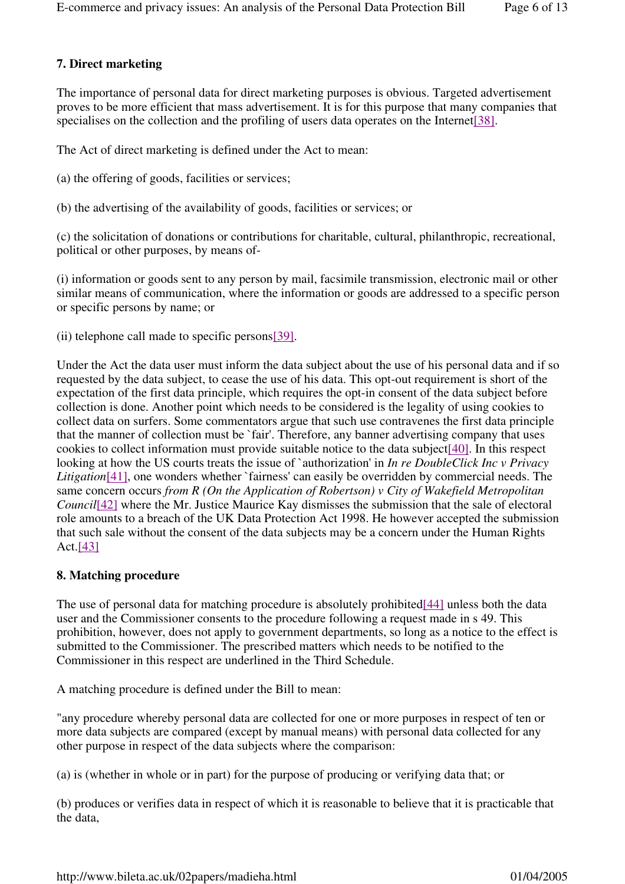# **7. Direct marketing**

The importance of personal data for direct marketing purposes is obvious. Targeted advertisement proves to be more efficient that mass advertisement. It is for this purpose that many companies that specialises on the collection and the profiling of users data operates on the Internet<sup>[38]</sup>.

The Act of direct marketing is defined under the Act to mean:

- (a) the offering of goods, facilities or services;
- (b) the advertising of the availability of goods, facilities or services; or

(c) the solicitation of donations or contributions for charitable, cultural, philanthropic, recreational, political or other purposes, by means of-

(i) information or goods sent to any person by mail, facsimile transmission, electronic mail or other similar means of communication, where the information or goods are addressed to a specific person or specific persons by name; or

(ii) telephone call made to specific persons[39].

Under the Act the data user must inform the data subject about the use of his personal data and if so requested by the data subject, to cease the use of his data. This opt-out requirement is short of the expectation of the first data principle, which requires the opt-in consent of the data subject before collection is done. Another point which needs to be considered is the legality of using cookies to collect data on surfers. Some commentators argue that such use contravenes the first data principle that the manner of collection must be `fair'. Therefore, any banner advertising company that uses cookies to collect information must provide suitable notice to the data subject[40]. In this respect looking at how the US courts treats the issue of `authorization' in *In re DoubleClick Inc v Privacy Litigation*<sup>[41]</sup>, one wonders whether `fairness' can easily be overridden by commercial needs. The same concern occurs *from R (On the Application of Robertson) v City of Wakefield Metropolitan Council*[42] where the Mr. Justice Maurice Kay dismisses the submission that the sale of electoral role amounts to a breach of the UK Data Protection Act 1998. He however accepted the submission that such sale without the consent of the data subjects may be a concern under the Human Rights Act.[43]

#### **8. Matching procedure**

The use of personal data for matching procedure is absolutely prohibited[44] unless both the data user and the Commissioner consents to the procedure following a request made in s 49. This prohibition, however, does not apply to government departments, so long as a notice to the effect is submitted to the Commissioner. The prescribed matters which needs to be notified to the Commissioner in this respect are underlined in the Third Schedule.

A matching procedure is defined under the Bill to mean:

"any procedure whereby personal data are collected for one or more purposes in respect of ten or more data subjects are compared (except by manual means) with personal data collected for any other purpose in respect of the data subjects where the comparison:

(a) is (whether in whole or in part) for the purpose of producing or verifying data that; or

(b) produces or verifies data in respect of which it is reasonable to believe that it is practicable that the data,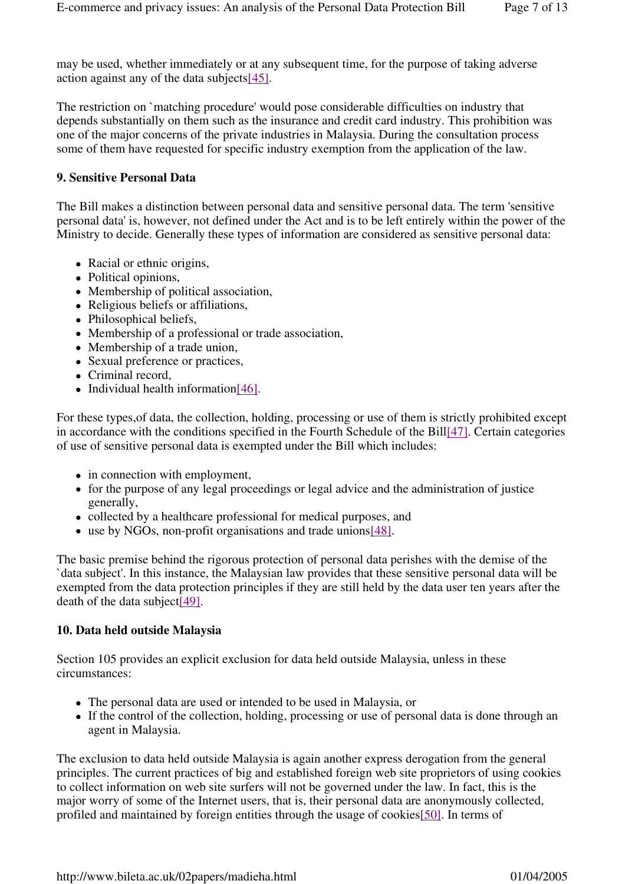may be used, whether immediately or at any subsequent time, for the purpose of taking adverse action against any of the data subjects[45].

The restriction on `matching procedure' would pose considerable difficulties on industry that depends substantially on them such as the insurance and credit card industry. This prohibition was one of the major concerns of the private industries in Malaysia. During the consultation process some of them have requested for specific industry exemption from the application of the law.

# **9. Sensitive Personal Data**

The Bill makes a distinction between personal data and sensitive personal data. The term 'sensitive personal data' is, however, not defined under the Act and is to be left entirely within the power of the Ministry to decide. Generally these types of information are considered as sensitive personal data:

- Racial or ethnic origins,
- Political opinions,
- Membership of political association,
- Religious beliefs or affiliations,
- Philosophical beliefs,
- Membership of a professional or trade association,
- Membership of a trade union,
- Sexual preference or practices,
- Criminal record,
- $\bullet$  Individual health information [46].

For these types,of data, the collection, holding, processing or use of them is strictly prohibited except in accordance with the conditions specified in the Fourth Schedule of the Bill[47]. Certain categories of use of sensitive personal data is exempted under the Bill which includes:

- in connection with employment,
- for the purpose of any legal proceedings or legal advice and the administration of justice generally,
- collected by a healthcare professional for medical purposes, and
- use by NGOs, non-profit organisations and trade unions[48].

The basic premise behind the rigorous protection of personal data perishes with the demise of the `data subject'. In this instance, the Malaysian law provides that these sensitive personal data will be exempted from the data protection principles if they are still held by the data user ten years after the death of the data subject[49].

# **10. Data held outside Malaysia**

Section 105 provides an explicit exclusion for data held outside Malaysia, unless in these circumstances:

- The personal data are used or intended to be used in Malaysia, or
- If the control of the collection, holding, processing or use of personal data is done through an agent in Malaysia.

The exclusion to data held outside Malaysia is again another express derogation from the general principles. The current practices of big and established foreign web site proprietors of using cookies to collect information on web site surfers will not be governed under the law. In fact, this is the major worry of some of the Internet users, that is, their personal data are anonymously collected, profiled and maintained by foreign entities through the usage of cookies[50]. In terms of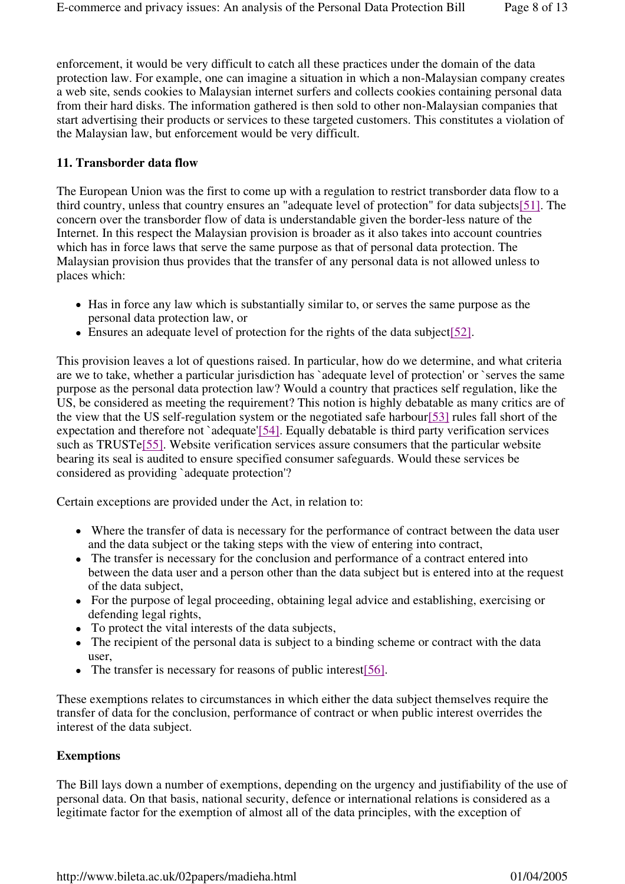enforcement, it would be very difficult to catch all these practices under the domain of the data protection law. For example, one can imagine a situation in which a non-Malaysian company creates a web site, sends cookies to Malaysian internet surfers and collects cookies containing personal data from their hard disks. The information gathered is then sold to other non-Malaysian companies that start advertising their products or services to these targeted customers. This constitutes a violation of the Malaysian law, but enforcement would be very difficult.

## **11. Transborder data flow**

The European Union was the first to come up with a regulation to restrict transborder data flow to a third country, unless that country ensures an "adequate level of protection" for data subjects[51]. The concern over the transborder flow of data is understandable given the border-less nature of the Internet. In this respect the Malaysian provision is broader as it also takes into account countries which has in force laws that serve the same purpose as that of personal data protection. The Malaysian provision thus provides that the transfer of any personal data is not allowed unless to places which:

- Has in force any law which is substantially similar to, or serves the same purpose as the personal data protection law, or
- Ensures an adequate level of protection for the rights of the data subject[52].

This provision leaves a lot of questions raised. In particular, how do we determine, and what criteria are we to take, whether a particular jurisdiction has `adequate level of protection' or `serves the same purpose as the personal data protection law? Would a country that practices self regulation, like the US, be considered as meeting the requirement? This notion is highly debatable as many critics are of the view that the US self-regulation system or the negotiated safe harbour[53] rules fall short of the expectation and therefore not `adequate'[54]. Equally debatable is third party verification services such as TRUSTe[55]. Website verification services assure consumers that the particular website bearing its seal is audited to ensure specified consumer safeguards. Would these services be considered as providing `adequate protection'?

Certain exceptions are provided under the Act, in relation to:

- Where the transfer of data is necessary for the performance of contract between the data user and the data subject or the taking steps with the view of entering into contract,
- The transfer is necessary for the conclusion and performance of a contract entered into between the data user and a person other than the data subject but is entered into at the request of the data subject,
- For the purpose of legal proceeding, obtaining legal advice and establishing, exercising or defending legal rights,
- To protect the vital interests of the data subjects,
- The recipient of the personal data is subject to a binding scheme or contract with the data user,
- The transfer is necessary for reasons of public interest[56].

These exemptions relates to circumstances in which either the data subject themselves require the transfer of data for the conclusion, performance of contract or when public interest overrides the interest of the data subject.

# **Exemptions**

The Bill lays down a number of exemptions, depending on the urgency and justifiability of the use of personal data. On that basis, national security, defence or international relations is considered as a legitimate factor for the exemption of almost all of the data principles, with the exception of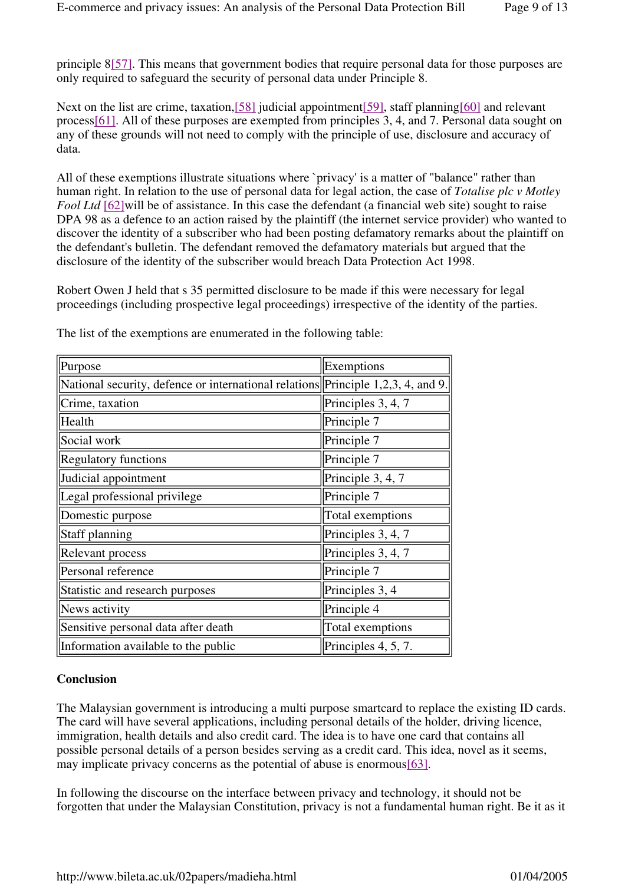principle 8[57]. This means that government bodies that require personal data for those purposes are only required to safeguard the security of personal data under Principle 8.

Next on the list are crime, taxation, [58] judicial appointment [59], staff planning [60] and relevant process[61]. All of these purposes are exempted from principles 3, 4, and 7. Personal data sought on any of these grounds will not need to comply with the principle of use, disclosure and accuracy of data.

All of these exemptions illustrate situations where `privacy' is a matter of "balance" rather than human right. In relation to the use of personal data for legal action, the case of *Totalise plc v Motley Fool Ltd* [62] will be of assistance. In this case the defendant (a financial web site) sought to raise DPA 98 as a defence to an action raised by the plaintiff (the internet service provider) who wanted to discover the identity of a subscriber who had been posting defamatory remarks about the plaintiff on the defendant's bulletin. The defendant removed the defamatory materials but argued that the disclosure of the identity of the subscriber would breach Data Protection Act 1998.

Robert Owen J held that s 35 permitted disclosure to be made if this were necessary for legal proceedings (including prospective legal proceedings) irrespective of the identity of the parties.

| Purpose                                                                          | Exemptions          |
|----------------------------------------------------------------------------------|---------------------|
| National security, defence or international relations Principle 1,2,3, 4, and 9. |                     |
| Crime, taxation                                                                  | Principles 3, 4, 7  |
| Health                                                                           | Principle 7         |
| Social work                                                                      | Principle 7         |
| <b>Regulatory functions</b>                                                      | Principle 7         |
| Judicial appointment                                                             | Principle 3, 4, 7   |
| Legal professional privilege                                                     | Principle 7         |
| Domestic purpose                                                                 | Total exemptions    |
| Staff planning                                                                   | Principles 3, 4, 7  |
| Relevant process                                                                 | Principles 3, 4, 7  |
| Personal reference                                                               | Principle 7         |
| Statistic and research purposes                                                  | Principles 3, 4     |
| News activity                                                                    | Principle 4         |
| Sensitive personal data after death                                              | Total exemptions    |
| Information available to the public                                              | Principles 4, 5, 7. |

The list of the exemptions are enumerated in the following table:

# **Conclusion**

The Malaysian government is introducing a multi purpose smartcard to replace the existing ID cards. The card will have several applications, including personal details of the holder, driving licence, immigration, health details and also credit card. The idea is to have one card that contains all possible personal details of a person besides serving as a credit card. This idea, novel as it seems, may implicate privacy concerns as the potential of abuse is enormous[63].

In following the discourse on the interface between privacy and technology, it should not be forgotten that under the Malaysian Constitution, privacy is not a fundamental human right. Be it as it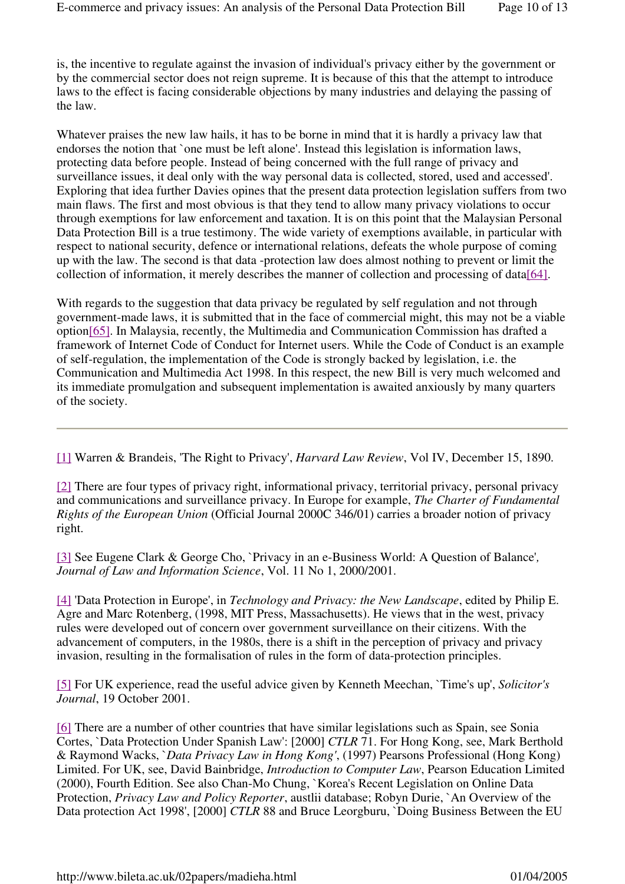is, the incentive to regulate against the invasion of individual's privacy either by the government or by the commercial sector does not reign supreme. It is because of this that the attempt to introduce laws to the effect is facing considerable objections by many industries and delaying the passing of the law.

Whatever praises the new law hails, it has to be borne in mind that it is hardly a privacy law that endorses the notion that `one must be left alone'. Instead this legislation is information laws, protecting data before people. Instead of being concerned with the full range of privacy and surveillance issues, it deal only with the way personal data is collected, stored, used and accessed'. Exploring that idea further Davies opines that the present data protection legislation suffers from two main flaws. The first and most obvious is that they tend to allow many privacy violations to occur through exemptions for law enforcement and taxation. It is on this point that the Malaysian Personal Data Protection Bill is a true testimony. The wide variety of exemptions available, in particular with respect to national security, defence or international relations, defeats the whole purpose of coming up with the law. The second is that data -protection law does almost nothing to prevent or limit the collection of information, it merely describes the manner of collection and processing of data[64].

With regards to the suggestion that data privacy be regulated by self regulation and not through government-made laws, it is submitted that in the face of commercial might, this may not be a viable option[65]. In Malaysia, recently, the Multimedia and Communication Commission has drafted a framework of Internet Code of Conduct for Internet users. While the Code of Conduct is an example of self-regulation, the implementation of the Code is strongly backed by legislation, i.e. the Communication and Multimedia Act 1998. In this respect, the new Bill is very much welcomed and its immediate promulgation and subsequent implementation is awaited anxiously by many quarters of the society.

[1] Warren & Brandeis, 'The Right to Privacy', *Harvard Law Review*, Vol IV, December 15, 1890.

[2] There are four types of privacy right, informational privacy, territorial privacy, personal privacy and communications and surveillance privacy. In Europe for example, *The Charter of Fundamental Rights of the European Union* (Official Journal 2000C 346/01) carries a broader notion of privacy right.

[3] See Eugene Clark & George Cho, `Privacy in an e-Business World: A Question of Balance'*, Journal of Law and Information Science*, Vol. 11 No 1, 2000/2001.

[4] 'Data Protection in Europe', in *Technology and Privacy: the New Landscape*, edited by Philip E. Agre and Marc Rotenberg, (1998, MIT Press, Massachusetts). He views that in the west, privacy rules were developed out of concern over government surveillance on their citizens. With the advancement of computers, in the 1980s, there is a shift in the perception of privacy and privacy invasion, resulting in the formalisation of rules in the form of data-protection principles.

[5] For UK experience, read the useful advice given by Kenneth Meechan, `Time's up', *Solicitor's Journal*, 19 October 2001.

[6] There are a number of other countries that have similar legislations such as Spain, see Sonia Cortes, `Data Protection Under Spanish Law': [2000] *CTLR* 71. For Hong Kong, see, Mark Berthold & Raymond Wacks, `*Data Privacy Law in Hong Kong'*, (1997) Pearsons Professional (Hong Kong) Limited. For UK, see, David Bainbridge, *Introduction to Computer Law*, Pearson Education Limited (2000), Fourth Edition. See also Chan-Mo Chung, `Korea's Recent Legislation on Online Data Protection, *Privacy Law and Policy Reporter*, austlii database; Robyn Durie, `An Overview of the Data protection Act 1998', [2000] *CTLR* 88 and Bruce Leorgburu, `Doing Business Between the EU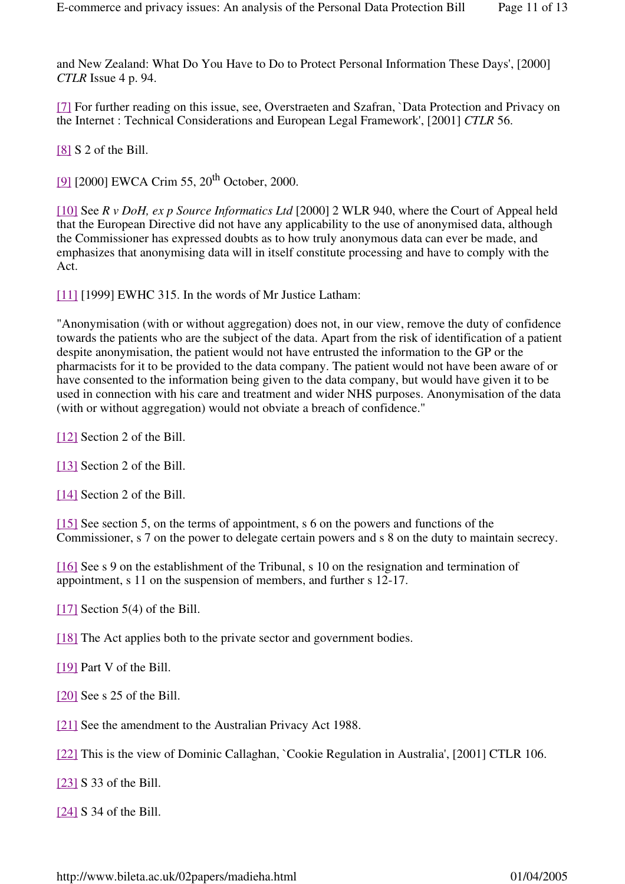and New Zealand: What Do You Have to Do to Protect Personal Information These Days', [2000] *CTLR* Issue 4 p. 94.

[7] For further reading on this issue, see, Overstraeten and Szafran, `Data Protection and Privacy on the Internet : Technical Considerations and European Legal Framework', [2001] *CTLR* 56.

[8] S 2 of the Bill.

[9] [2000] EWCA Crim 55, 20<sup>th</sup> October, 2000.

[10] See *R v DoH, ex p Source Informatics Ltd* [2000] 2 WLR 940, where the Court of Appeal held that the European Directive did not have any applicability to the use of anonymised data, although the Commissioner has expressed doubts as to how truly anonymous data can ever be made, and emphasizes that anonymising data will in itself constitute processing and have to comply with the Act.

[11] [1999] EWHC 315. In the words of Mr Justice Latham:

"Anonymisation (with or without aggregation) does not, in our view, remove the duty of confidence towards the patients who are the subject of the data. Apart from the risk of identification of a patient despite anonymisation, the patient would not have entrusted the information to the GP or the pharmacists for it to be provided to the data company. The patient would not have been aware of or have consented to the information being given to the data company, but would have given it to be used in connection with his care and treatment and wider NHS purposes. Anonymisation of the data (with or without aggregation) would not obviate a breach of confidence."

[12] Section 2 of the Bill.

[13] Section 2 of the Bill.

[14] Section 2 of the Bill.

[15] See section 5, on the terms of appointment, s 6 on the powers and functions of the Commissioner, s 7 on the power to delegate certain powers and s 8 on the duty to maintain secrecy.

[16] See s 9 on the establishment of the Tribunal, s 10 on the resignation and termination of appointment, s 11 on the suspension of members, and further s 12-17.

[17] Section 5(4) of the Bill.

[18] The Act applies both to the private sector and government bodies.

[19] Part V of the Bill.

[20] See s 25 of the Bill.

[21] See the amendment to the Australian Privacy Act 1988.

[22] This is the view of Dominic Callaghan, `Cookie Regulation in Australia', [2001] CTLR 106.

[23] S 33 of the Bill.

[24] S 34 of the Bill.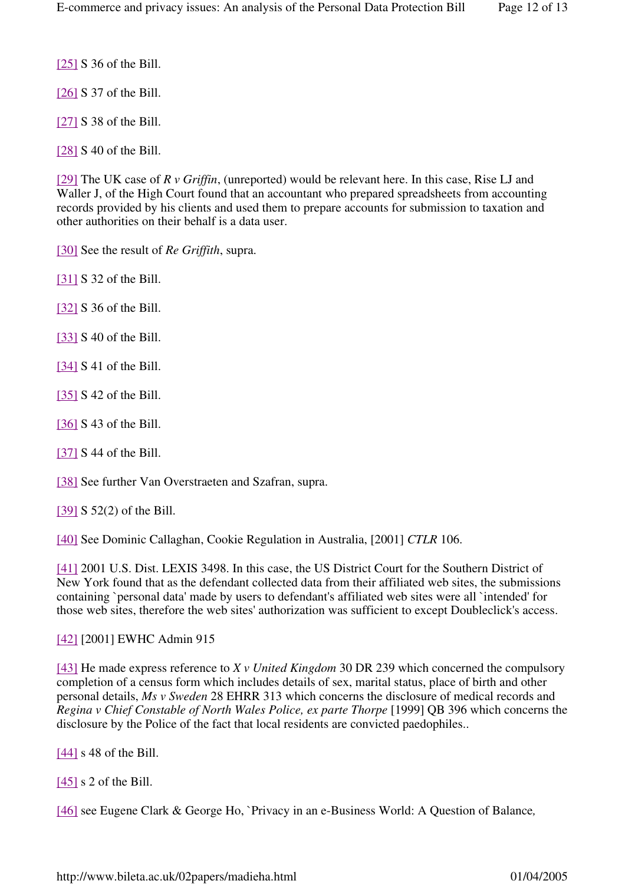[25] S 36 of the Bill.

[26] S 37 of the Bill.

[27] S 38 of the Bill.

[28] S 40 of the Bill.

[29] The UK case of *R v Griffin*, (unreported) would be relevant here. In this case, Rise LJ and Waller J, of the High Court found that an accountant who prepared spreadsheets from accounting records provided by his clients and used them to prepare accounts for submission to taxation and other authorities on their behalf is a data user.

[30] See the result of *Re Griffith*, supra.

[31] S 32 of the Bill.

[32] S 36 of the Bill.

[33] S 40 of the Bill.

[34] S 41 of the Bill.

[35] S 42 of the Bill.

[36] S 43 of the Bill.

[37] S 44 of the Bill.

[38] See further Van Overstraeten and Szafran, supra.

[39] S 52(2) of the Bill.

[40] See Dominic Callaghan, Cookie Regulation in Australia, [2001] *CTLR* 106.

[41] 2001 U.S. Dist. LEXIS 3498. In this case, the US District Court for the Southern District of New York found that as the defendant collected data from their affiliated web sites, the submissions containing `personal data' made by users to defendant's affiliated web sites were all `intended' for those web sites, therefore the web sites' authorization was sufficient to except Doubleclick's access.

#### [42] [2001] EWHC Admin 915

[43] He made express reference to *X v United Kingdom* 30 DR 239 which concerned the compulsory completion of a census form which includes details of sex, marital status, place of birth and other personal details, *Ms v Sweden* 28 EHRR 313 which concerns the disclosure of medical records and *Regina v Chief Constable of North Wales Police, ex parte Thorpe* [1999] QB 396 which concerns the disclosure by the Police of the fact that local residents are convicted paedophiles..

[44] s 48 of the Bill.

 $[45]$  s 2 of the Bill.

[46] see Eugene Clark & George Ho, `Privacy in an e-Business World: A Question of Balance*,*